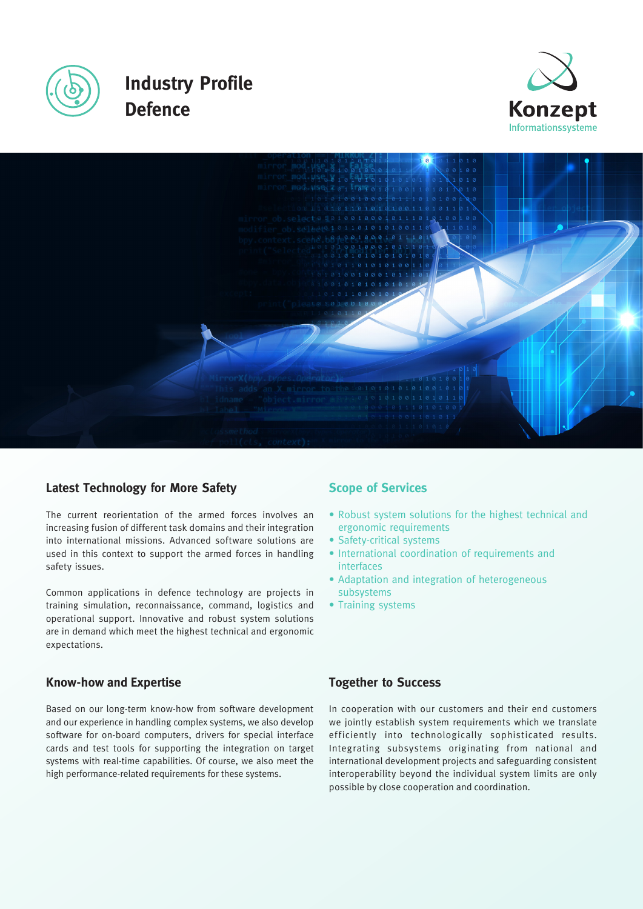





# **Latest Technology for More Safety**

The current reorientation of the armed forces involves an increasing fusion of different task domains and their integration into international missions. Advanced software solutions are used in this context to support the armed forces in handling safety issues.

Common applications in defence technology are projects in training simulation, reconnaissance, command, logistics and operational support. Innovative and robust system solutions are in demand which meet the highest technical and ergonomic expectations.

# **Know-how and Expertise**

Based on our long-term know-how from software development and our experience in handling complex systems, we also develop software for on-board computers, drivers for special interface cards and test tools for supporting the integration on target systems with real-time capabilities. Of course, we also meet the high performance-related requirements for these systems.

# **Scope of Services**

- Robust system solutions for the highest technical and ergonomic requirements
- Safety-critical systems
- International coordination of requirements and interfaces
- Adaptation and integration of heterogeneous subsystems
- Training systems

# **Together to Success**

In cooperation with our customers and their end customers we jointly establish system requirements which we translate efficiently into technologically sophisticated results. Integrating subsystems originating from national and international development projects and safeguarding consistent interoperability beyond the individual system limits are only possible by close cooperation and coordination.